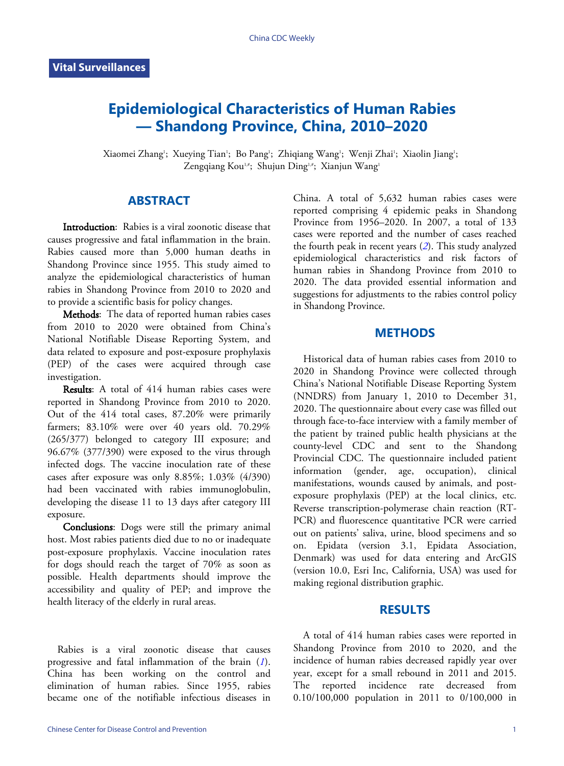# **Epidemiological Characteristics of Human Rabies — Shandong Province, China, 2010–2020**

Xiaomei Zhang'; Xueying Tian'; Bo Pang'; Zhiqiang Wang'; Wenji Zhai'; Xiaolin Jiang'; Zengqiang Kou<sup>1,#</sup>; Shujun Ding<sup>1,#</sup>; Xianjun Wang<sup>1</sup>

## **ABSTRACT**

Introduction: Rabies is a viral zoonotic disease that causes progressive and fatal inflammation in the brain. Rabies caused more than 5,000 human deaths in Shandong Province since 1955. This study aimed to analyze the epidemiological characteristics of human rabies in Shandong Province from 2010 to 2020 and to provide a scientific basis for policy changes.

Methods: The data of reported human rabies cases from 2010 to 2020 were obtained from China's National Notifiable Disease Reporting System, and data related to exposure and post-exposure prophylaxis (PEP) of the cases were acquired through case investigation.

Results: A total of 414 human rabies cases were reported in Shandong Province from 2010 to 2020. Out of the 414 total cases, 87.20% were primarily farmers; 83.10% were over 40 years old. 70.29% (265/377) belonged to category III exposure; and 96.67% (377/390) were exposed to the virus through infected dogs. The vaccine inoculation rate of these cases after exposure was only 8.85%; 1.03% (4/390) had been vaccinated with rabies immunoglobulin, developing the disease 11 to 13 days after category III exposure.

Conclusions: Dogs were still the primary animal host. Most rabies patients died due to no or inadequate post-exposure prophylaxis. Vaccine inoculation rates for dogs should reach the target of 70% as soon as possible. Health departments should improve the accessibility and quality of PEP; and improve the health literacy of the elderly in rural areas.

Rabies is a viral zoonotic disease that ca[use](#page-4-0)s progressive and fatal inflammation of the brain (*[1](#page-4-0)*). China has been working on the control and elimination of human rabies. Since 1955, rabies became one of the notifiable infectious diseases in

China. A total of 5,632 human rabies cases were reported comprising 4 epidemic peaks in Shandong Province from 1956–2020. In 2007, a total of 133 cases were reported and the number of cases reached the fourth peak in recent years (*[2](#page-4-1)*). This study analyzed epidemiological characteristics and risk factors of human rabies in Shandong Province from 2010 to 2020. The data provided essential information and suggestions for adjustments to the rabies control policy in Shandong Province.

## **METHODS**

Historical data of human rabies cases from 2010 to 2020 in Shandong Province were collected through China's National Notifiable Disease Reporting System (NNDRS) from January 1, 2010 to December 31, 2020. The questionnaire about every case was filled out through face-to-face interview with a family member of the patient by trained public health physicians at the county-level CDC and sent to the Shandong Provincial CDC. The questionnaire included patient information (gender, age, occupation), clinical manifestations, wounds caused by animals, and postexposure prophylaxis (PEP) at the local clinics, etc. Reverse transcription-polymerase chain reaction (RT-PCR) and fluorescence quantitative PCR were carried out on patients' saliva, urine, blood specimens and so on. Epidata (version 3.1, Epidata Association, Denmark) was used for data entering and ArcGIS (version 10.0, Esri Inc, California, USA) was used for making regional distribution graphic.

#### **RESULTS**

A total of 414 human rabies cases were reported in Shandong Province from 2010 to 2020, and the incidence of human rabies decreased rapidly year over year, except for a small rebound in 2011 and 2015. The reported incidence rate decreased from 0.10/100,000 population in 2011 to 0/100,000 in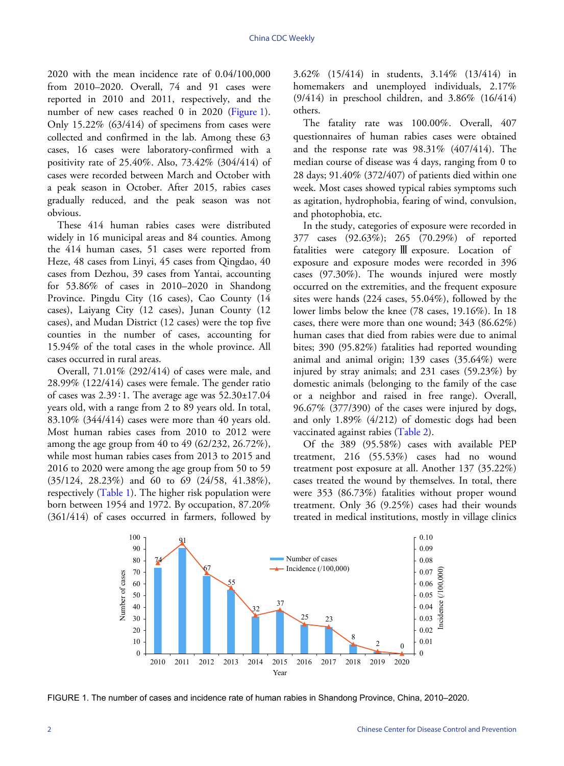2020 with the mean incidence rate of 0.04/100,000 from 2010–2020. Overall, 74 and 91 cases were reported in 2010 and 2011, respectively, and the numberof new cases reached 0 in 2020 ([Figure 1](#page-1-0)). Only  $15.22\%$  (63/414) of specimens from cases were collected and confirmed in the lab. Among these 63 cases, 16 cases were laboratory-confirmed with a positivity rate of 25.40%. Also, 73.42% (304/414) of cases were recorded between March and October with a peak season in October. After 2015, rabies cases gradually reduced, and the peak season was not obvious.

These 414 human rabies cases were distributed widely in 16 municipal areas and 84 counties. Among the 414 human cases, 51 cases were reported from Heze, 48 cases from Linyi, 45 cases from Qingdao, 40 cases from Dezhou, 39 cases from Yantai, accounting for 53.86% of cases in 2010–2020 in Shandong Province. Pingdu City (16 cases), Cao County (14 cases), Laiyang City (12 cases), Junan County (12 cases), and Mudan District (12 cases) were the top five counties in the number of cases, accounting for 15.94% of the total cases in the whole province. All cases occurred in rural areas.

Overall, 71.01% (292/414) of cases were male, and 28.99% (122/414) cases were female. The gender ratio of cases was 2.39∶1. The average age was 52.30±17.04 years old, with a range from 2 to 89 years old. In total, 83.10% (344/414) cases were more than 40 years old. Most human rabies cases from 2010 to 2012 were among the age group from 40 to 49 (62/232, 26.72%), while most human rabies cases from 2013 to 2015 and 2016 to 2020 were among the age group from 50 to 59 (35/124, 28[.23](#page-2-0)%) and 60 to 69 (24/58, 41.38%), respectively [\(Table 1\)](#page-2-0). The higher risk population were born between 1954 and 1972. By occupation, 87.20% (361/414) of cases occurred in farmers, followed by 3.62% (15/414) in students, 3.14% (13/414) in homemakers and unemployed individuals, 2.17% (9/414) in preschool children, and 3.86% (16/414) others.

The fatality rate was 100.00%. Overall, 407 questionnaires of human rabies cases were obtained and the response rate was  $98.31\%$  (407/414). The median course of disease was 4 days, ranging from 0 to 28 days; 91.40% (372/407) of patients died within one week. Most cases showed typical rabies symptoms such as agitation, hydrophobia, fearing of wind, convulsion, and photophobia, etc.

In the study, categories of exposure were recorded in 377 cases (92.63%); 265 (70.29%) of reported fatalities were category Ⅲ exposure. Location of exposure and exposure modes were recorded in 396 cases (97.30%). The wounds injured were mostly occurred on the extremities, and the frequent exposure sites were hands (224 cases, 55.04%), followed by the lower limbs below the knee (78 cases, 19.16%). In 18 cases, there were more than one wound; 343 (86.62%) human cases that died from rabies were due to animal bites; 390 (95.82%) fatalities had reported wounding animal and animal origin; 139 cases (35.64%) were injured by stray animals; and 231 cases (59.23%) by domestic animals (belonging to the family of the case or a neighbor and raised in free range). Overall, 96.67% (377/390) of the cases were injured by dogs, and only 1.89% (4/212[\) of dom](#page-2-1)estic dogs had been vaccinated against rabies [\(Table 2\)](#page-2-1).

Of the 389 (95.58%) cases with available PEP treatment, 216 (55.53%) cases had no wound treatment post exposure at all. Another 137 (35.22%) cases treated the wound by themselves. In total, there were 353 (86.73%) fatalities without proper wound treatment. Only 36 (9.25%) cases had their wounds treated in medical institutions, mostly in village clinics

<span id="page-1-0"></span>

FIGURE 1. The number of cases and incidence rate of human rabies in Shandong Province, China, 2010–2020.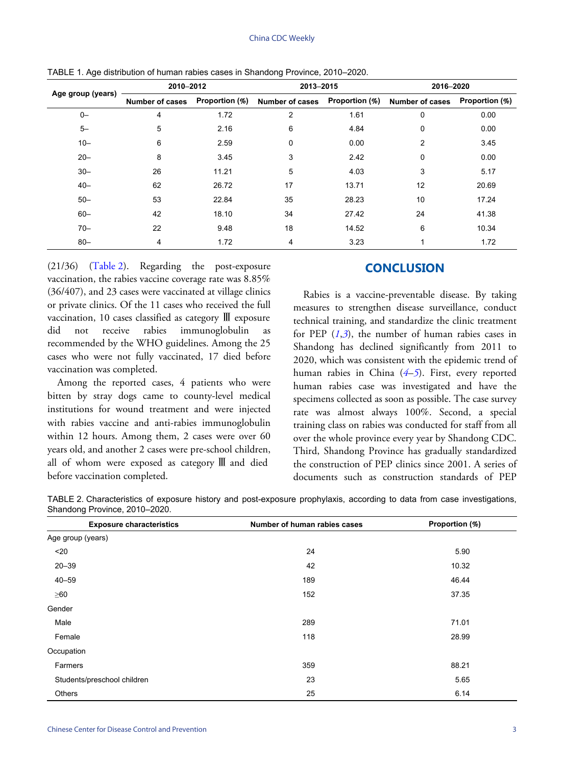|                   | 2010-2012              |                | 2013-2015                      |       | 2016-2020              |                |  |
|-------------------|------------------------|----------------|--------------------------------|-------|------------------------|----------------|--|
| Age group (years) | <b>Number of cases</b> | Proportion (%) | Number of cases Proportion (%) |       | <b>Number of cases</b> | Proportion (%) |  |
| $0-$              | 4                      | 1.72           | $\overline{2}$                 | 1.61  | 0                      | 0.00           |  |
| $5-$              | 5                      | 2.16           | 6                              | 4.84  | 0                      | 0.00           |  |
| $10 -$            | 6                      | 2.59           | 0                              | 0.00  | $\overline{2}$         | 3.45           |  |
| $20 -$            | 8                      | 3.45           | 3                              | 2.42  | 0                      | 0.00           |  |
| $30 -$            | 26                     | 11.21          | 5                              | 4.03  | 3                      | 5.17           |  |
| $40 -$            | 62                     | 26.72          | 17                             | 13.71 | 12                     | 20.69          |  |
| $50 -$            | 53                     | 22.84          | 35                             | 28.23 | 10                     | 17.24          |  |
| $60 -$            | 42                     | 18.10          | 34                             | 27.42 | 24                     | 41.38          |  |
| $70 -$            | 22                     | 9.48           | 18                             | 14.52 | 6                      | 10.34          |  |
| $80 -$            | 4                      | 1.72           | 4                              | 3.23  |                        | 1.72           |  |

<span id="page-2-0"></span>TABLE 1. Age distribution of human rabies cases in Shandong Province, 2010–2020.

(21/36) [\(Table 2\)](#page-2-1). Regarding the post-exposure vaccination, the rabies vaccine coverage rate was 8.85% (36/407), and 23 cases were vaccinated at village clinics or private clinics. Of the 11 cases who received the full vaccination, 10 cases classified as category Ⅲ exposure did not receive rabies immunoglobulin as recommended by the WHO guidelines. Among the 25 cases who were not fully vaccinated, 17 died before vaccination was completed.

Among the reported cases, 4 patients who were bitten by stray dogs came to county-level medical institutions for wound treatment and were injected with rabies vaccine and anti-rabies immunoglobulin within 12 hours. Among them, 2 cases were over 60 years old, and another 2 cases were pre-school children, all of whom were exposed as category Ⅲ and died before vaccination completed.

#### **CONCLUSION**

Rabies is a vaccine-preventable disease. By taking measures to strengthen disease surveillance, conduct technical training, and standardize the clinic treatment for PEP  $(1,3)$  $(1,3)$  $(1,3)$  $(1,3)$  $(1,3)$ , the number of human rabies cases in Shandong has declined significantly from 2011 to 2020, which was consisten[t](#page-4-3) [wit](#page-4-4)h the epidemic trend of human rabies in China (*[4](#page-4-3)*–*[5](#page-4-4)*). First, every reported human rabies case was investigated and have the specimens collected as soon as possible. The case survey rate was almost always 100%. Second, a special training class on rabies was conducted for staff from all over the whole province every year by Shandong CDC. Third, Shandong Province has gradually standardized the construction of PEP clinics since 2001. A series of documents such as construction standards of PEP

<span id="page-2-1"></span>

| TABLE 2. Characteristics of exposure history and post-exposure prophylaxis, according to data from case investigations, |  |  |  |  |  |  |
|-------------------------------------------------------------------------------------------------------------------------|--|--|--|--|--|--|
| Shandong Province, 2010-2020.                                                                                           |  |  |  |  |  |  |

| <b>Exposure characteristics</b> | Number of human rabies cases | Proportion (%) |
|---------------------------------|------------------------------|----------------|
| Age group (years)               |                              |                |
| $20$                            | 24                           | 5.90           |
| $20 - 39$                       | 42                           | 10.32          |
| $40 - 59$                       | 189                          | 46.44          |
| $\geq 60$                       | 152                          | 37.35          |
| Gender                          |                              |                |
| Male                            | 289                          | 71.01          |
| Female                          | 118                          | 28.99          |
| Occupation                      |                              |                |
| Farmers                         | 359                          | 88.21          |
| Students/preschool children     | 23                           | 5.65           |
| Others                          | 25                           | 6.14           |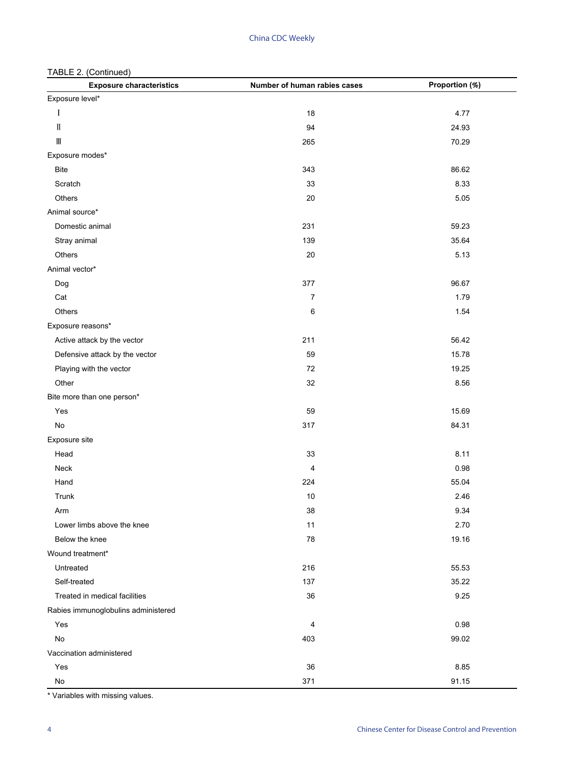| <b>Exposure characteristics</b>       | Number of human rabies cases | Proportion (%) |
|---------------------------------------|------------------------------|----------------|
| Exposure level*                       |                              |                |
| I                                     | 18                           | 4.77           |
| $\rm I\hspace{-.1em}I$                | 94                           | 24.93          |
| $\rm I\hspace{-.1em}I\hspace{-.1em}I$ | 265                          | 70.29          |
| Exposure modes*                       |                              |                |
| <b>Bite</b>                           | 343                          | 86.62          |
| Scratch                               | 33                           | 8.33           |
| Others                                | $20\,$                       | 5.05           |
| Animal source*                        |                              |                |
| Domestic animal                       | 231                          | 59.23          |
| Stray animal                          | 139                          | 35.64          |
| Others                                | 20                           | 5.13           |
| Animal vector*                        |                              |                |
| Dog                                   | 377                          | 96.67          |
| Cat                                   | $\boldsymbol{7}$             | 1.79           |
| Others                                | 6                            | 1.54           |
| Exposure reasons*                     |                              |                |
| Active attack by the vector           | 211                          | 56.42          |
| Defensive attack by the vector        | 59                           | 15.78          |
| Playing with the vector               | 72                           | 19.25          |
| Other                                 | 32                           | 8.56           |
| Bite more than one person*            |                              |                |
| Yes                                   | 59                           | 15.69          |
| No                                    | 317                          | 84.31          |
| Exposure site                         |                              |                |
| Head                                  | 33                           | 8.11           |
| Neck                                  | 4                            | 0.98           |
| Hand                                  | 224                          | 55.04          |
| Trunk                                 | 10                           | 2.46           |
| Arm                                   | 38                           | 9.34           |
| Lower limbs above the knee            | 11                           | 2.70           |
| Below the knee                        | 78                           | 19.16          |
| Wound treatment*                      |                              |                |
| Untreated                             | 216                          | 55.53          |
| Self-treated                          | 137                          | 35.22          |
| Treated in medical facilities         | 36                           | 9.25           |
| Rabies immunoglobulins administered   |                              |                |
| Yes                                   | 4                            | 0.98           |
| No                                    | 403                          | 99.02          |
| Vaccination administered              |                              |                |
| Yes                                   | 36                           | 8.85           |
| No                                    | 371                          | 91.15          |

\* Variables with missing values.